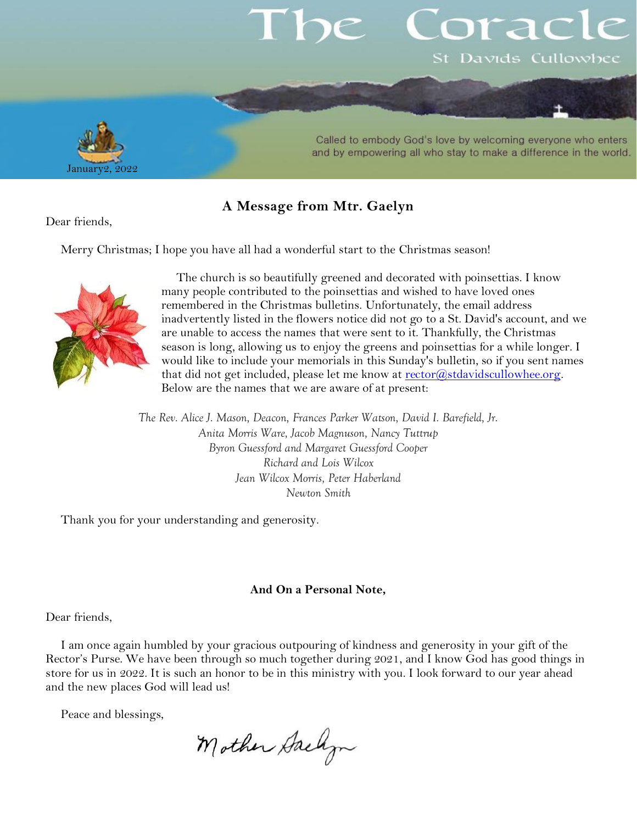# orac St Davids Cullowhee



#### Called to embody God's love by welcoming everyone who enters and by empowering all who stay to make a difference in the world.

### **A Message from Mtr. Gaelyn**

Dear friends,

Merry Christmas; I hope you have all had a wonderful start to the Christmas season!



The church is so beautifully greened and decorated with poinsettias. I know many people contributed to the poinsettias and wished to have loved ones remembered in the Christmas bulletins. Unfortunately, the email address inadvertently listed in the flowers notice did not go to a St. David's account, and we are unable to access the names that were sent to it. Thankfully, the Christmas season is long, allowing us to enjoy the greens and poinsettias for a while longer. I would like to include your memorials in this Sunday's bulletin, so if you sent names that did not get included, please let me know at [rector@stdavidscullowhee.org.](mailto:rector@stdavidscullowhee.org) Below are the names that we are aware of at present:

*The Rev. Alice J. Mason, Deacon, Frances Parker Watson, David I. Barefield, Jr. Anita Morris Ware, Jacob Magnuson, Nancy Tuttrup Byron Guessford and Margaret Guessford Cooper Richard and Lois Wilcox Jean Wilcox Morris, Peter Haberland Newton Smith*

Thank you for your understanding and generosity.

#### **And On a Personal Note,**

Dear friends,

I am once again humbled by your gracious outpouring of kindness and generosity in your gift of the Rector's Purse. We have been through so much together during 2021, and I know God has good things in store for us in 2022. It is such an honor to be in this ministry with you. I look forward to our year ahead and the new places God will lead us!

Peace and blessings,

Mother Dackyn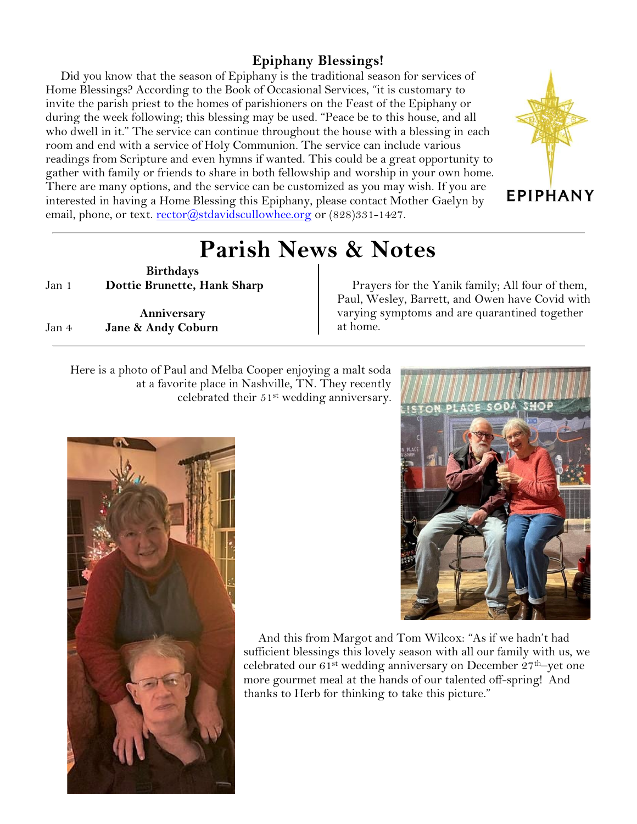## **Epiphany Blessings!**

Did you know that the season of Epiphany is the traditional season for services of Home Blessings? According to the Book of Occasional Services, "it is customary to invite the parish priest to the homes of parishioners on the Feast of the Epiphany or during the week following; this blessing may be used. "Peace be to this house, and all who dwell in it." The service can continue throughout the house with a blessing in each room and end with a service of Holy Communion. The service can include various readings from Scripture and even hymns if wanted. This could be a great opportunity to gather with family or friends to share in both fellowship and worship in your own home. There are many options, and the service can be customized as you may wish. If you are interested in having a Home Blessing this Epiphany, please contact Mother Gaelyn by email, phone, or text. [rector@stdavidscullowhee.org](mailto:rector@stdavidscullowhee.org) or  $(828)331-1427$ .



## **Parish News & Notes**

**Birthdays** Jan 1 **Dottie Brunette, Hank Sharp**

**Anniversary** Jan 4 **Jane & Andy Coburn**

Prayers for the Yanik family; All four of them, Paul, Wesley, Barrett, and Owen have Covid with varying symptoms and are quarantined together at home.

Here is a photo of Paul and Melba Cooper enjoying a malt soda at a favorite place in Nashville, TN. They recently celebrated their 51st wedding anniversary.



And this from Margot and Tom Wilcox: "As if we hadn't had sufficient blessings this lovely season with all our family with us, we celebrated our  $61^{st}$  wedding anniversary on December  $27^{th}$ –yet one more gourmet meal at the hands of our talented off-spring! And thanks to Herb for thinking to take this picture."

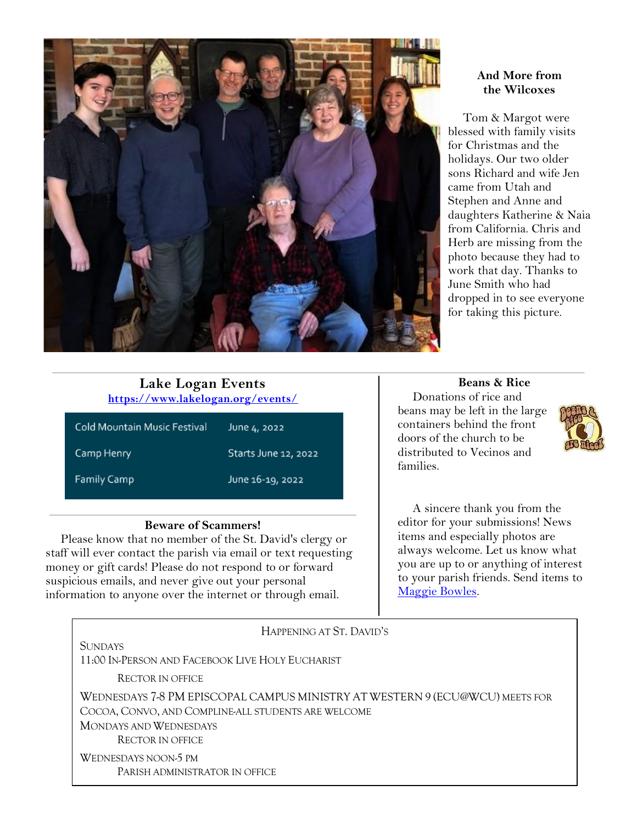

#### **And More from the Wilcoxes**

Tom & Margot were blessed with family visits for Christmas and the holidays. Our two older sons Richard and wife Jen came from Utah and Stephen and Anne and daughters Katherine & Naia from California. Chris and Herb are missing from the photo because they had to work that day. Thanks to June Smith who had dropped in to see everyone for taking this picture.

#### **Lake Logan Events <https://www.lakelogan.org/events/>**

| Cold Mountain Music Festival | June 4, 2022         |
|------------------------------|----------------------|
| Camp Henry                   | Starts June 12, 2022 |
| <b>Family Camp</b>           | June 16-19, 2022     |

#### **Beware of Scammers!**

Please know that no member of the St. David's clergy or staff will ever contact the parish via email or text requesting money or gift cards! Please do not respond to or forward suspicious emails, and never give out your personal information to anyone over the internet or through email.

**Beans & Rice**

Donations of rice and beans may be left in the large containers behind the front doors of the church to be distributed to Vecinos and families.



A sincere thank you from the editor for your submissions! News items and especially photos are always welcome. Let us know what you are up to or anything of interest to your parish friends. Send items to [Maggie Bowles.](mailto:magbowles@gmail.com)

| HAPPENING AT ST. DAVID'S                                                     |  |
|------------------------------------------------------------------------------|--|
| <b>SUNDAYS</b>                                                               |  |
| 11:00 IN-PERSON AND FACEBOOK LIVE HOLY EUCHARIST                             |  |
| <b>RECTOR IN OFFICE</b>                                                      |  |
| WEDNESDAYS 7-8 PM EPISCOPAL CAMPUS MINISTRY AT WESTERN 9 (ECU@WCU) MEETS FOR |  |
| COCOA, CONVO, AND COMPLINE-ALL STUDENTS ARE WELCOME                          |  |
| MONDAYS AND WEDNESDAYS                                                       |  |
| <b>RECTOR IN OFFICE</b>                                                      |  |
| WEDNESDAYS NOON-5 PM                                                         |  |
| PARISH ADMINISTRATOR IN OFFICE                                               |  |